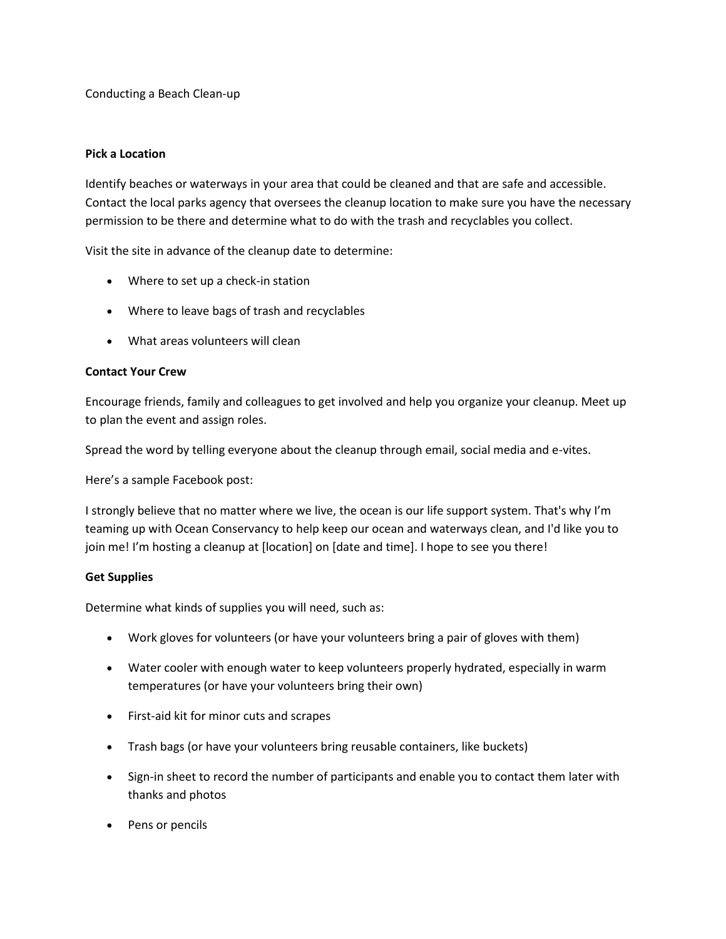Conducting a Beach Clean-up

### **Pick a Location**

Identify beaches or waterways in your area that could be cleaned and that are safe and accessible. Contact the local parks agency that oversees the cleanup location to make sure you have the necessary permission to be there and determine what to do with the trash and recyclables you collect.

Visit the site in advance of the cleanup date to determine:

- Where to set up a check-in station
- Where to leave bags of trash and recyclables
- What areas volunteers will clean

### **Contact Your Crew**

Encourage friends, family and colleagues to get involved and help you organize your cleanup. Meet up to plan the event and assign roles.

Spread the word by telling everyone about the cleanup through email, social media and e-vites.

Here's a sample Facebook post:

I strongly believe that no matter where we live, the ocean is our life support system. That's why I'm teaming up with Ocean Conservancy to help keep our ocean and waterways clean, and I'd like you to join me! I'm hosting a cleanup at [location] on [date and time]. I hope to see you there!

### **Get Supplies**

Determine what kinds of supplies you will need, such as:

- Work gloves for volunteers (or have your volunteers bring a pair of gloves with them)
- Water cooler with enough water to keep volunteers properly hydrated, especially in warm temperatures (or have your volunteers bring their own)
- First-aid kit for minor cuts and scrapes
- Trash bags (or have your volunteers bring reusable containers, like buckets)
- Sign-in sheet to record the number of participants and enable you to contact them later with thanks and photos
- Pens or pencils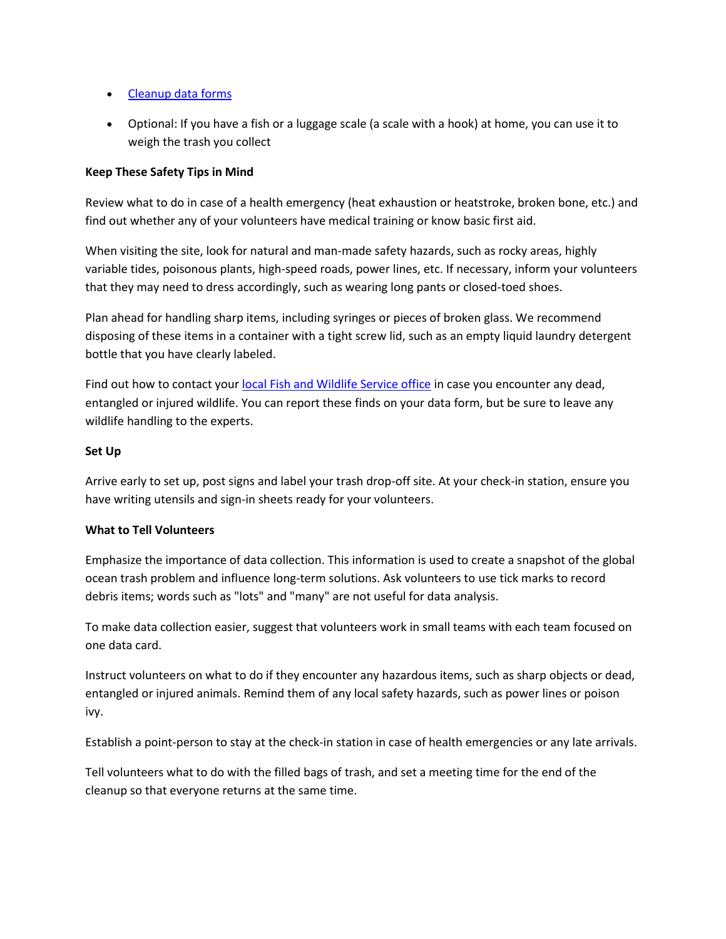- [Cleanup data forms](http://www.oceanconservancy.org/our-work/international-coastal-cleanup/data-form.pdf)
- Optional: If you have a fish or a luggage scale (a scale with a hook) at home, you can use it to weigh the trash you collect

# **Keep These Safety Tips in Mind**

Review what to do in case of a health emergency (heat exhaustion or heatstroke, broken bone, etc.) and find out whether any of your volunteers have medical training or know basic first aid.

When visiting the site, look for natural and man-made safety hazards, such as rocky areas, highly variable tides, poisonous plants, high-speed roads, power lines, etc. If necessary, inform your volunteers that they may need to dress accordingly, such as wearing long pants or closed-toed shoes.

Plan ahead for handling sharp items, including syringes or pieces of broken glass. We recommend disposing of these items in a container with a tight screw lid, such as an empty liquid laundry detergent bottle that you have clearly labeled.

Find out how to contact your [local Fish and Wildlife Service office](http://www.fws.gov/offices/statelinks.html) in case you encounter any dead, entangled or injured wildlife. You can report these finds on your data form, but be sure to leave any wildlife handling to the experts.

## **Set Up**

Arrive early to set up, post signs and label your trash drop-off site. At your check-in station, ensure you have writing utensils and sign-in sheets ready for your volunteers.

## **What to Tell Volunteers**

Emphasize the importance of data collection. This information is used to create a snapshot of the global ocean trash problem and influence long-term solutions. Ask volunteers to use tick marks to record debris items; words such as "lots" and "many" are not useful for data analysis.

To make data collection easier, suggest that volunteers work in small teams with each team focused on one data card.

Instruct volunteers on what to do if they encounter any hazardous items, such as sharp objects or dead, entangled or injured animals. Remind them of any local safety hazards, such as power lines or poison ivy.

Establish a point-person to stay at the check-in station in case of health emergencies or any late arrivals.

Tell volunteers what to do with the filled bags of trash, and set a meeting time for the end of the cleanup so that everyone returns at the same time.